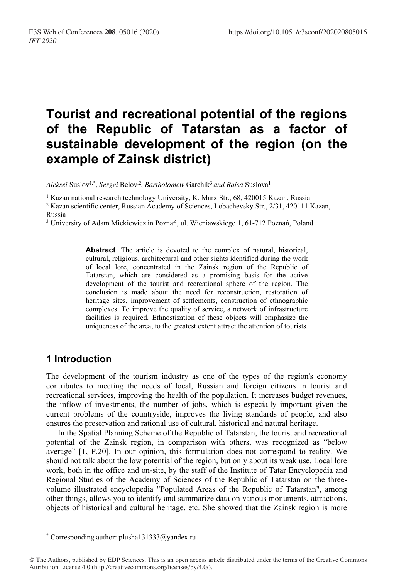# **Tourist and recreational potential of the regions of the Republic of Tatarstan as a factor of sustainable development of the region (on the example of Zainsk district)**

*Aleksei* Suslov1,*\*, Sergei* Belov,2, *Bartholomew* Garchik3 *and Raisa* Suslova1

<sup>1</sup> Kazan national research technology University, K. Marx Str., 68, 420015 Kazan, Russia

<sup>2</sup> Kazan scientific center, Russian Academy of Sciences, Lobachevsky Str., 2/31, 420111 Kazan, Russia

<sup>3</sup> University of Adam Mickiewicz in Poznań, ul. Wieniawskiego 1, 61-712 Poznań, Poland

**Abstract**. The article is devoted to the complex of natural, historical, cultural, religious, architectural and other sights identified during the work of local lore, concentrated in the Zainsk region of the Republic of Tatarstan, which are considered as a promising basis for the active development of the tourist and recreational sphere of the region. The conclusion is made about the need for reconstruction, restoration of heritage sites, improvement of settlements, construction of ethnographic complexes. To improve the quality of service, a network of infrastructure facilities is required. Ethnostization of these objects will emphasize the uniqueness of the area, to the greatest extent attract the attention of tourists.

#### **1 Introduction**

The development of the tourism industry as one of the types of the region's economy contributes to meeting the needs of local, Russian and foreign citizens in tourist and recreational services, improving the health of the population. It increases budget revenues, the inflow of investments, the number of jobs, which is especially important given the current problems of the countryside, improves the living standards of people, and also ensures the preservation and rational use of cultural, historical and natural heritage.

In the Spatial Planning Scheme of the Republic of Tatarstan, the tourist and recreational potential of the Zainsk region, in comparison with others, was recognized as "below average" [1, P.20]. In our opinion, this formulation does not correspond to reality. We should not talk about the low potential of the region, but only about its weak use. Local lore work, both in the office and on-site, by the staff of the Institute of Tatar Encyclopedia and Regional Studies of the Academy of Sciences of the Republic of Tatarstan on the threevolume illustrated encyclopedia "Populated Areas of the Republic of Tatarstan", among other things, allows you to identify and summarize data on various monuments, attractions, objects of historical and cultural heritage, etc. She showed that the Zainsk region is more

<sup>\*</sup> Corresponding author: plusha131333@yandex.ru

<sup>©</sup> The Authors, published by EDP Sciences. This is an open access article distributed under the terms of the Creative Commons Attribution License 4.0 (http://creativecommons.org/licenses/by/4.0/).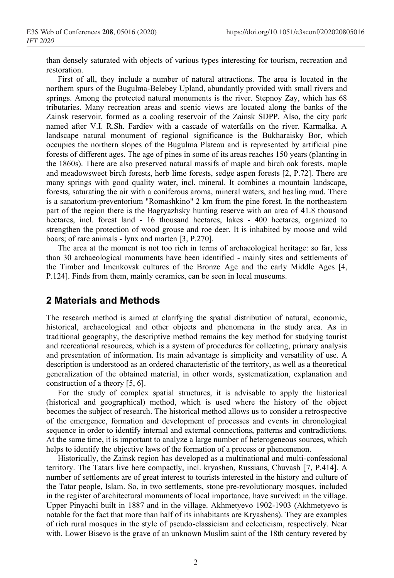than densely saturated with objects of various types interesting for tourism, recreation and restoration.

First of all, they include a number of natural attractions. The area is located in the northern spurs of the Bugulma-Belebey Upland, abundantly provided with small rivers and springs. Among the protected natural monuments is the river. Stepnoy Zay, which has 68 tributaries. Many recreation areas and scenic views are located along the banks of the Zainsk reservoir, formed as a cooling reservoir of the Zainsk SDPP. Also, the city park named after V.I. R.Sh. Fardiev with a cascade of waterfalls on the river. Karmalka. A landscape natural monument of regional significance is the Bukharaisky Bor, which occupies the northern slopes of the Bugulma Plateau and is represented by artificial pine forests of different ages. The age of pines in some of its areas reaches 150 years (planting in the 1860s). There are also preserved natural massifs of maple and birch oak forests, maple and meadowsweet birch forests, herb lime forests, sedge aspen forests [2, P.72]. There are many springs with good quality water, incl. mineral. It combines a mountain landscape, forests, saturating the air with a coniferous aroma, mineral waters, and healing mud. There is a sanatorium-preventorium "Romashkino" 2 km from the pine forest. In the northeastern part of the region there is the Bagryazhsky hunting reserve with an area of 41.8 thousand hectares, incl. forest land - 16 thousand hectares, lakes - 400 hectares, organized to strengthen the protection of wood grouse and roe deer. It is inhabited by moose and wild boars; of rare animals - lynx and marten [3, P.270].

The area at the moment is not too rich in terms of archaeological heritage: so far, less than 30 archaeological monuments have been identified - mainly sites and settlements of the Timber and Imenkovsk cultures of the Bronze Age and the early Middle Ages [4, P.124]. Finds from them, mainly ceramics, can be seen in local museums.

#### **2 Materials and Methods**

The research method is aimed at clarifying the spatial distribution of natural, economic, historical, archaeological and other objects and phenomena in the study area. As in traditional geography, the descriptive method remains the key method for studying tourist and recreational resources, which is a system of procedures for collecting, primary analysis and presentation of information. Its main advantage is simplicity and versatility of use. A description is understood as an ordered characteristic of the territory, as well as a theoretical generalization of the obtained material, in other words, systematization, explanation and construction of a theory [5, 6].

For the study of complex spatial structures, it is advisable to apply the historical (historical and geographical) method, which is used where the history of the object becomes the subject of research. The historical method allows us to consider a retrospective of the emergence, formation and development of processes and events in chronological sequence in order to identify internal and external connections, patterns and contradictions. At the same time, it is important to analyze a large number of heterogeneous sources, which helps to identify the objective laws of the formation of a process or phenomenon.

Historically, the Zainsk region has developed as a multinational and multi-confessional territory. The Tatars live here compactly, incl. kryashen, Russians, Chuvash [7, P.414]. A number of settlements are of great interest to tourists interested in the history and culture of the Tatar people, Islam. So, in two settlements, stone pre-revolutionary mosques, included in the register of architectural monuments of local importance, have survived: in the village. Upper Pinyachi built in 1887 and in the village. Akhmetyevo 1902-1903 (Akhmetyevo is notable for the fact that more than half of its inhabitants are Kryashens). They are examples of rich rural mosques in the style of pseudo-classicism and eclecticism, respectively. Near with. Lower Bisevo is the grave of an unknown Muslim saint of the 18th century revered by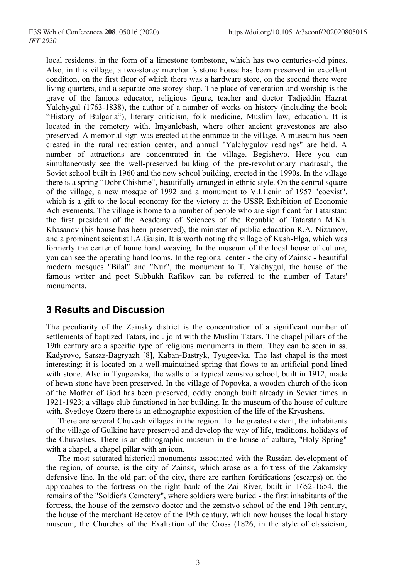local residents. in the form of a limestone tombstone, which has two centuries-old pines. Also, in this village, a two-storey merchant's stone house has been preserved in excellent condition, on the first floor of which there was a hardware store, on the second there were living quarters, and a separate one-storey shop. The place of veneration and worship is the grave of the famous educator, religious figure, teacher and doctor Tadjeddin Hazrat Yalchygul (1763-1838), the author of a number of works on history (including the book "History of Bulgaria"), literary criticism, folk medicine, Muslim law, education. It is located in the cemetery with. Imyanlebash, where other ancient gravestones are also preserved. A memorial sign was erected at the entrance to the village. A museum has been created in the rural recreation center, and annual "Yalchygulov readings" are held. A number of attractions are concentrated in the village. Begishevo. Here you can simultaneously see the well-preserved building of the pre-revolutionary madrasah, the Soviet school built in 1960 and the new school building, erected in the 1990s. In the village there is a spring "Dobr Chishme", beautifully arranged in ethnic style. On the central square of the village, a new mosque of 1992 and a monument to V.I.Lenin of 1957 "coexist", which is a gift to the local economy for the victory at the USSR Exhibition of Economic Achievements. The village is home to a number of people who are significant for Tatarstan: the first president of the Academy of Sciences of the Republic of Tatarstan M.Kh. Khasanov (his house has been preserved), the minister of public education R.A. Nizamov, and a prominent scientist I.A.Gaisin. It is worth noting the village of Kush-Elga, which was formerly the center of home hand weaving. In the museum of the local house of culture, you can see the operating hand looms. In the regional center - the city of Zainsk - beautiful modern mosques "Bilal" and "Nur", the monument to T. Yalchygul, the house of the famous writer and poet Subbukh Rafikov can be referred to the number of Tatars' monuments.

## **3 Results and Discussion**

The peculiarity of the Zainsky district is the concentration of a significant number of settlements of baptized Tatars, incl. joint with the Muslim Tatars. The chapel pillars of the 19th century are a specific type of religious monuments in them. They can be seen in ss. Kadyrovo, Sarsaz-Bagryazh [8], Kaban-Bastryk, Tyugeevka. The last chapel is the most interesting: it is located on a well-maintained spring that flows to an artificial pond lined with stone. Also in Tyugeevka, the walls of a typical zemstvo school, built in 1912, made of hewn stone have been preserved. In the village of Popovka, a wooden church of the icon of the Mother of God has been preserved, oddly enough built already in Soviet times in 1921-1923; a village club functioned in her building. In the museum of the house of culture with. Svetloye Ozero there is an ethnographic exposition of the life of the Kryashens.

There are several Chuvash villages in the region. To the greatest extent, the inhabitants of the village of Gulkino have preserved and develop the way of life, traditions, holidays of the Chuvashes. There is an ethnographic museum in the house of culture, "Holy Spring" with a chapel, a chapel pillar with an icon.

The most saturated historical monuments associated with the Russian development of the region, of course, is the city of Zainsk, which arose as a fortress of the Zakamsky defensive line. In the old part of the city, there are earthen fortifications (escarps) on the approaches to the fortress on the right bank of the Zai River, built in 1652-1654, the remains of the "Soldier's Cemetery", where soldiers were buried - the first inhabitants of the fortress, the house of the zemstvo doctor and the zemstvo school of the end 19th century, the house of the merchant Beketov of the 19th century, which now houses the local history museum, the Churches of the Exaltation of the Cross (1826, in the style of classicism,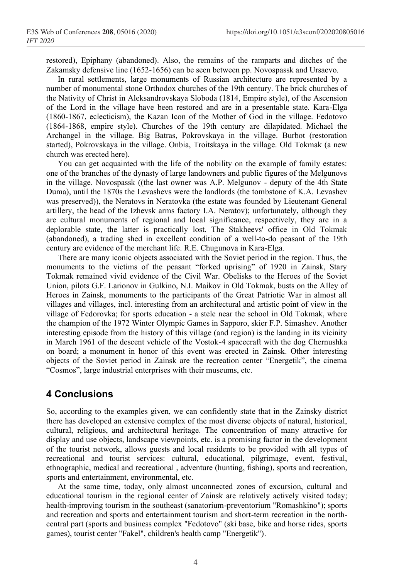restored), Epiphany (abandoned). Also, the remains of the ramparts and ditches of the Zakamsky defensive line (1652-1656) can be seen between pp. Novospassk and Ursaevo.

In rural settlements, large monuments of Russian architecture are represented by a number of monumental stone Orthodox churches of the 19th century. The brick churches of the Nativity of Christ in Aleksandrovskaya Sloboda (1814, Empire style), of the Ascension of the Lord in the village have been restored and are in a presentable state. Kara-Elga (1860-1867, eclecticism), the Kazan Icon of the Mother of God in the village. Fedotovo (1864-1868, empire style). Churches of the 19th century are dilapidated. Michael the Archangel in the village. Big Batras, Pokrovskaya in the village. Burbot (restoration started), Pokrovskaya in the village. Onbia, Troitskaya in the village. Old Tokmak (a new church was erected here).

You can get acquainted with the life of the nobility on the example of family estates: one of the branches of the dynasty of large landowners and public figures of the Melgunovs in the village. Novospassk ((the last owner was A.P. Melgunov - deputy of the 4th State Duma), until the 1870s the Levashevs were the landlords (the tombstone of K.A. Levashev was preserved)), the Neratovs in Neratovka (the estate was founded by Lieutenant General artillery, the head of the Izhevsk arms factory I.A. Neratov); unfortunately, although they are cultural monuments of regional and local significance, respectively, they are in a deplorable state, the latter is practically lost. The Stakheevs' office in Old Tokmak (abandoned), a trading shed in excellent condition of a well-to-do peasant of the 19th century are evidence of the merchant life. R.E. Chugunova in Kara-Elga.

There are many iconic objects associated with the Soviet period in the region. Thus, the monuments to the victims of the peasant "forked uprising" of 1920 in Zainsk, Stary Tokmak remained vivid evidence of the Civil War. Obelisks to the Heroes of the Soviet Union, pilots G.F. Larionov in Gulkino, N.I. Maikov in Old Tokmak, busts on the Alley of Heroes in Zainsk, monuments to the participants of the Great Patriotic War in almost all villages and villages, incl. interesting from an architectural and artistic point of view in the village of Fedorovka; for sports education - a stele near the school in Old Tokmak, where the champion of the 1972 Winter Olympic Games in Sapporo, skier F.P. Simashev. Another interesting episode from the history of this village (and region) is the landing in its vicinity in March 1961 of the descent vehicle of the Vostok-4 spacecraft with the dog Chernushka on board; a monument in honor of this event was erected in Zainsk. Other interesting objects of the Soviet period in Zainsk are the recreation center "Energetik", the cinema "Cosmos", large industrial enterprises with their museums, etc.

## **4 Conclusions**

So, according to the examples given, we can confidently state that in the Zainsky district there has developed an extensive complex of the most diverse objects of natural, historical, cultural, religious, and architectural heritage. The concentration of many attractive for display and use objects, landscape viewpoints, etc. is a promising factor in the development of the tourist network, allows guests and local residents to be provided with all types of recreational and tourist services: cultural, educational, pilgrimage, event, festival, ethnographic, medical and recreational , adventure (hunting, fishing), sports and recreation, sports and entertainment, environmental, etc.

At the same time, today, only almost unconnected zones of excursion, cultural and educational tourism in the regional center of Zainsk are relatively actively visited today; health-improving tourism in the southeast (sanatorium-preventorium "Romashkino"); sports and recreation and sports and entertainment tourism and short-term recreation in the northcentral part (sports and business complex "Fedotovo" (ski base, bike and horse rides, sports games), tourist center "Fakel", children's health camp "Energetik").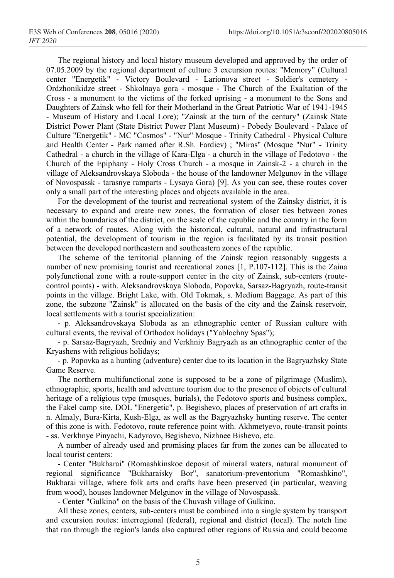The regional history and local history museum developed and approved by the order of 07.05.2009 by the regional department of culture 3 excursion routes: "Memory" (Cultural center "Energetik" - Victory Boulevard - Larionova street - Soldier's cemetery - Ordzhonikidze street - Shkolnaya gora - mosque - The Church of the Exaltation of the Cross - a monument to the victims of the forked uprising - a monument to the Sons and Daughters of Zainsk who fell for their Motherland in the Great Patriotic War of 1941-1945 - Museum of History and Local Lore); "Zainsk at the turn of the century" (Zainsk State District Power Plant (State District Power Plant Museum) - Pobedy Boulevard - Palace of Culture "Energetik" - MC "Cosmos" - "Nur" Mosque - Trinity Cathedral - Physical Culture and Health Center - Park named after R.Sh. Fardiev) ; "Miras" (Mosque "Nur" - Trinity Cathedral - a church in the village of Kara-Elga - a church in the village of Fedotovo - the Church of the Epiphany - Holy Cross Church - a mosque in Zainsk-2 - a church in the village of Aleksandrovskaya Sloboda - the house of the landowner Melgunov in the village of Novospassk - tarasnye ramparts - Lysaya Gora) [9]. As you can see, these routes cover only a small part of the interesting places and objects available in the area.

For the development of the tourist and recreational system of the Zainsky district, it is necessary to expand and create new zones, the formation of closer ties between zones within the boundaries of the district, on the scale of the republic and the country in the form of a network of routes. Along with the historical, cultural, natural and infrastructural potential, the development of tourism in the region is facilitated by its transit position between the developed northeastern and southeastern zones of the republic.

The scheme of the territorial planning of the Zainsk region reasonably suggests a number of new promising tourist and recreational zones [1, P.107-112]. This is the Zaina polyfunctional zone with a route-support center in the city of Zainsk, sub-centers (routecontrol points) - with. Aleksandrovskaya Sloboda, Popovka, Sarsaz-Bagryazh, route-transit points in the village. Bright Lake, with. Old Tokmak, s. Medium Baggage. As part of this zone, the subzone "Zainsk" is allocated on the basis of the city and the Zainsk reservoir, local settlements with a tourist specialization:

- p. Aleksandrovskaya Sloboda as an ethnographic center of Russian culture with cultural events, the revival of Orthodox holidays ("Yablochny Spas");

- p. Sarsaz-Bagryazh, Sredniy and Verkhniy Bagryazh as an ethnographic center of the Kryashens with religious holidays;

- p. Popovka as a hunting (adventure) center due to its location in the Bagryazhsky State Game Reserve.

The northern multifunctional zone is supposed to be a zone of pilgrimage (Muslim), ethnographic, sports, health and adventure tourism due to the presence of objects of cultural heritage of a religious type (mosques, burials), the Fedotovo sports and business complex, the Fakel camp site, DOL "Energetic", p. Begishevo, places of preservation of art crafts in n. Almaly, Bura-Kirta, Kush-Elga, as well as the Bagryazhsky hunting reserve. The center of this zone is with. Fedotovo, route reference point with. Akhmetyevo, route-transit points - ss. Verkhnye Pinyachi, Kadyrovo, Begishevo, Nizhnee Bishevo, etc.

A number of already used and promising places far from the zones can be allocated to local tourist centers:

- Center "Bukharai" (Romashkinskoe deposit of mineral waters, natural monument of regional significance "Bukharaisky Bor", sanatorium-preventorium "Romashkino", Bukharai village, where folk arts and crafts have been preserved (in particular, weaving from wood), houses landowner Melgunov in the village of Novospassk.

- Center "Gulkino" on the basis of the Chuvash village of Gulkino.

All these zones, centers, sub-centers must be combined into a single system by transport and excursion routes: interregional (federal), regional and district (local). The notch line that ran through the region's lands also captured other regions of Russia and could become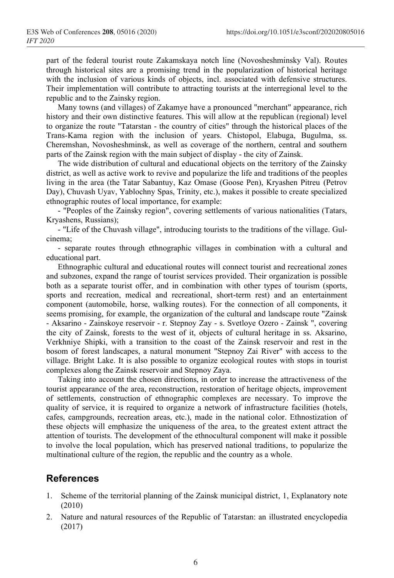part of the federal tourist route Zakamskaya notch line (Novosheshminsky Val). Routes through historical sites are a promising trend in the popularization of historical heritage with the inclusion of various kinds of objects, incl. associated with defensive structures. Their implementation will contribute to attracting tourists at the interregional level to the republic and to the Zainsky region.

Many towns (and villages) of Zakamye have a pronounced "merchant" appearance, rich history and their own distinctive features. This will allow at the republican (regional) level to organize the route "Tatarstan - the country of cities" through the historical places of the Trans-Kama region with the inclusion of years. Chistopol, Elabuga, Bugulma, ss. Cheremshan, Novosheshminsk, as well as coverage of the northern, central and southern parts of the Zainsk region with the main subject of display - the city of Zainsk.

The wide distribution of cultural and educational objects on the territory of the Zainsky district, as well as active work to revive and popularize the life and traditions of the peoples living in the area (the Tatar Sabantuy, Kaz Omase (Goose Pen), Kryashen Pitreu (Petrov Day), Chuvash Uyav, Yablochny Spas, Trinity, etc.), makes it possible to create specialized ethnographic routes of local importance, for example:

- "Peoples of the Zainsky region", covering settlements of various nationalities (Tatars, Kryashens, Russians);

- "Life of the Chuvash village", introducing tourists to the traditions of the village. Gulcinema;

- separate routes through ethnographic villages in combination with a cultural and educational part.

Ethnographic cultural and educational routes will connect tourist and recreational zones and subzones, expand the range of tourist services provided. Their organization is possible both as a separate tourist offer, and in combination with other types of tourism (sports, sports and recreation, medical and recreational, short-term rest) and an entertainment component (automobile, horse, walking routes). For the connection of all components, it seems promising, for example, the organization of the cultural and landscape route "Zainsk - Aksarino - Zainskoye reservoir - r. Stepnoy Zay - s. Svetloye Ozero - Zainsk ", covering the city of Zainsk, forests to the west of it, objects of cultural heritage in ss. Aksarino, Verkhniye Shipki, with a transition to the coast of the Zainsk reservoir and rest in the bosom of forest landscapes, a natural monument "Stepnoy Zai River" with access to the village. Bright Lake. It is also possible to organize ecological routes with stops in tourist complexes along the Zainsk reservoir and Stepnoy Zaya.

Taking into account the chosen directions, in order to increase the attractiveness of the tourist appearance of the area, reconstruction, restoration of heritage objects, improvement of settlements, construction of ethnographic complexes are necessary. To improve the quality of service, it is required to organize a network of infrastructure facilities (hotels, cafes, campgrounds, recreation areas, etc.), made in the national color. Ethnostization of these objects will emphasize the uniqueness of the area, to the greatest extent attract the attention of tourists. The development of the ethnocultural component will make it possible to involve the local population, which has preserved national traditions, to popularize the multinational culture of the region, the republic and the country as a whole.

## **References**

- 1. Scheme of the territorial planning of the Zainsk municipal district, 1, Explanatory note (2010)
- 2. Nature and natural resources of the Republic of Tatarstan: an illustrated encyclopedia (2017)